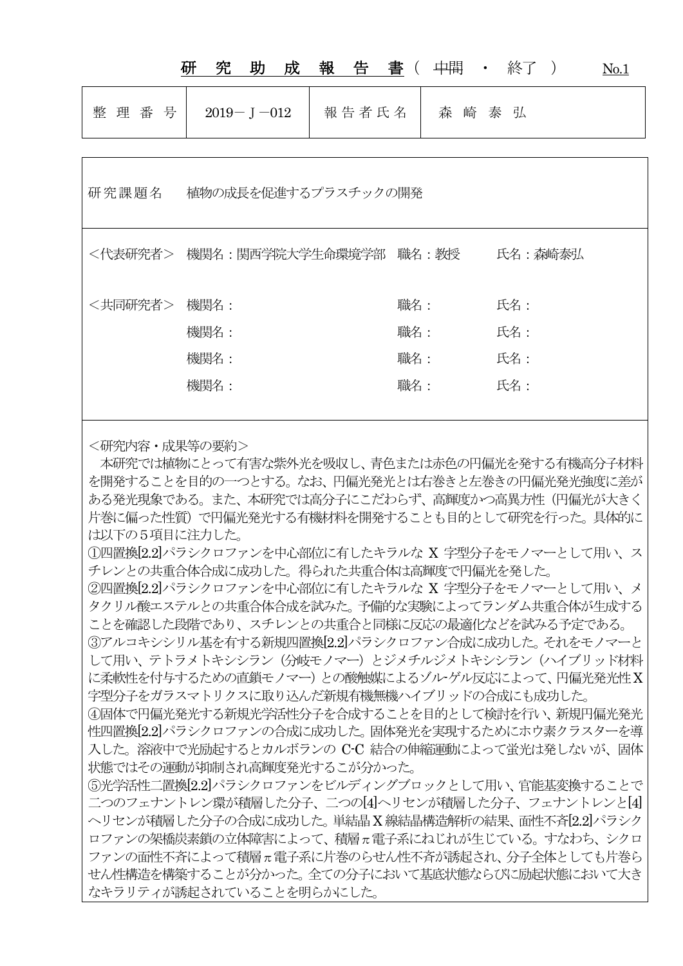|         | 助<br>成<br>究<br>研               | 告<br>書(<br>報 | 中間<br>$\bullet$ | 終了      | No.1 |
|---------|--------------------------------|--------------|-----------------|---------|------|
| 整理番号    | $2019 - J - 012$               | 報告者氏名        | 森 崎 泰 弘         |         |      |
|         |                                |              |                 |         |      |
| 研究課題名   | 植物の成長を促進するプラスチックの開発            |              |                 |         |      |
|         | <代表研究者> 機関名:関西学院大学生命環境学部 職名:教授 |              |                 | 氏名:森崎泰弘 |      |
| <共同研究者> | 機関名:                           | 職名:          |                 | 氏名:     |      |
|         | 機関名:                           | 職名:          |                 | 氏名:     |      |
|         | 機関名:                           | 職名:          |                 | 氏名:     |      |
|         | 機関名:                           | 職名:          |                 | 氏名:     |      |
|         |                                |              |                 |         |      |

出

主 / 山胆 .

| 纵了 )

**H<sub>t</sub>** 

다.

祌

<研究内容·成果等の要約>

本研究では植物にとって有害な紫外光を吸収し、青色または赤色の円偏光を発する有機高分子材料 を開発することを目的の一つとする。なお、円偏光発光とは右巻きと左巻きの円偏光発光強度に差が ある発光現象である。また、本研究では高分子にこだわらず、高輝度かつ高異方性(円偏光が大きく 片巻に偏った性質)で円偏光発光する有機材料を開発することも目的として研究を行った。具体的に は以下の5項目に注力した。

12四置換[2.2]パラシクロファンを中心部位に有したキラルな X 字型分子をモノマーとして用い、ス チレンとの共重合体合成に成功した。得られた共重合体は高輝度で円偏光を発した。

②四置換[2.2]パラシクロファンを中心部位に有したキラルな X 字型分子をモノマーとして用い、メ タクリル酸エステルとの共重合体合成を試みた。予備的な実験によってランダム共重合体が生成する ことを確認した段階であり、スチレンとの共重合と同様に反応の最適化などを試みる予定である。

③アルコキシシリル基を有する新規四置換[2.2]パラシクロファン合成に成功した。それをモノマーと して用い、テトラメトキシシラン(分岐モノマー)とジメチルジメトキシシラン(ハイブリッド材料 に柔軟性を付与するための直鎖モノマー)との酸触媒によるゾル・ゲル反応によって、円偏光発光性X 字型分子をガラスマトリクスに取り込んだ新規有機無機ハイブリッドの合成にも成功した。

4個体で円偏光発光する新規光学活性分子を合成することを目的として検討を行い、新規円偏光発光 性四置換[2.2]パラシクロファンの合成に成功した。固体発光を実現するためにホウ素クラスターを導 入した。溶液中で光励起するとカルボランの C-C 結合の伸縮運動によって蛍光は発しないが、固体 状態ではその運動が抑制され高輝度発光するこが分かった。

6)光学活性二置換[2.2]パラシクロファンをビルディングブロックとして用い、官能基変換することで 二つのフェナントレン環が積層した分子、二つの[4]ヘリセンが積層した分子、フェナントレンと[4] ヘリセンが積層した分子の合成に成功した。単結晶 X線結晶構造解析の結果、面性不斉[2.2]パラシク ロファンの架橋炭素鎖の立体障害によって、積層π電子系にねじれが生じている。すなわち、シクロ ファンの面性不斉によって積層π電子系に片巻のらせん性不斉が誘起され、分子全体としても片巻ら せん性構造を構築することが分かった。全ての分子において基底状熊ならびに励起状熊において大き なキラリティが誘起されていることを明らかにした。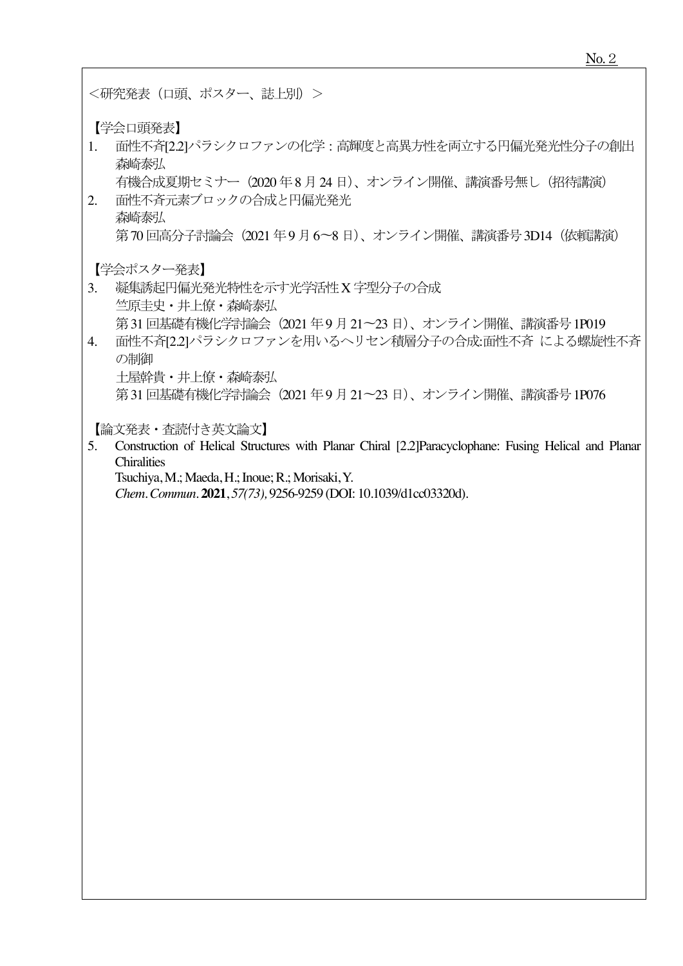<研究発表 (口頭、ポスター、誌上別) >

【学会口頭発表】

- 面性不斉[2.2]パラシクロファンの化学:高輝度と高異方性を両立する円偏光発光性分子の創出  $1.$ 森崎泰弘
- 有機合成夏期セミナー (2020年8月24日)、オンライン開催、講演番号無し (招待講演) 2. 面性不斉元素ブロックの合成と円偏光発光
- 森崎泰弘 第70回高分子計論会 (2021年9月6~8日)、オンライン開催、講演番号3D14 (依頼講演)

【学会ポスター発表】

- 凝集誘起円偏光発光特性を示す光学活性X字型分子の合成  $\mathcal{E}$ 竺原圭史・井上僚・森崎泰弘 第31回基礎有機化学計論会 (2021年9月21~23日)、オンライン開催、講演番号1P019
- 4. 面性不斉[2.2]パラシクロファンを用いるヘリセン積層分子の合成:面性不斉 による螺旋性不斉 の制御 土屋幹貴・井上僚・森崎泰弘
	- 第31回基礎有機化学計論会 (2021年9月21~23日)、オンライン開催、講演番号 1P076

【論文発表・査読付き英文論文】

5. Construction of Helical Structures with Planar Chiral [2.2] Paracyclophane: Fusing Helical and Planar **Chiralities** 

Tsuchiya, M.; Maeda, H.; Inoue; R.; Morisaki, Y.

Chem. Commun. 2021, 57(73), 9256-9259 (DOI: 10.1039/d1cc03320d).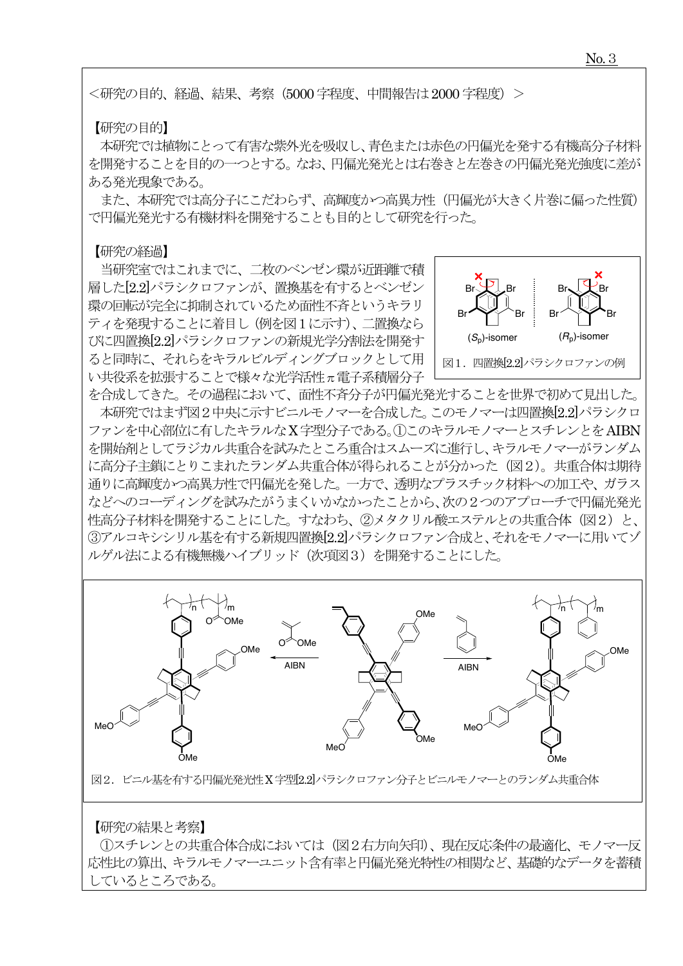## 【研究の目的】

本研究では植物にとって有害な紫外光を吸収し、青色または赤色の円偏光を発する有機高分子材料 を開発することを目的の一つとする。なお、円偏光発光とは右巻きと左巻きの円偏光発光強度に差が ある発光現象である。

また、本研究では高分子にこだわらず、高輝度かつ高異方性(円偏光が大きく片巻に偏った性質) で円偏光発光する有機材料を開発することも目的として研究を行った。

【研究の経過】

当研究室ではこれまでに、二枚のベンゼン環が近距離で積 層した[2.2]パラシクロファンが、置換基を有するとベンゼン 環の回転が完全に抑制されているため面性不吝というキラリ ティを発現することに着目し (例を図1に示す)、二置換なら びに四置換[2.2]パラシクロファンの新規光学分割法を開発す ると同時に、それらをキラルビルディングブロックとして用 い共役系を拡張することで様々な光学活性π電子系積層分子



を合成してきた。その過程において、面性不斉分子が円偏光発光することを世界で初めて見出した。 本研究ではまず図2中央に示すビニルモノマーを合成した。このモノマーは四置換[2.2]パラシクロ ファンを中心部位に有したキラルなX字型分子である。(1)このキラルモノマーとスチレンとをAIBN を開始剤としてラジカル共重合を試みたところ重合はスムーズに進行し、キラルモノマーがランダム に高分子主鎖にとりこまれたランダム共重合体が得られることが分かった (図2)。共重合体は期待 通りに高輝度かつ高異方性で円偏光を発した。一方で、透明なプラスチック材料への加工や、ガラス などへのコーディングを試みたがうまくいかなかったことから、次の2つのアプローチで円偏光発光 性高分子材料を開発することにした。すなわち、②メタクリル酸エステルとの共重合体 (図2) と、 (3)アルコキシシリル基を有する新規四置換[2.2]パラシクロファン合成と、それをモノマーに用いてゾ ルゲル法による有機無機ハイブリッド (次項図3) を開発することにした。



## 【研究の結果と考察】

(1)スチレンとの共重合体合成においては (図2右方向矢印)、現在反応条件の最適化、モノマー反 応性比の算出、キラルモノマーユニット含有率と円偏光発光特性の相関など、基礎的なデータを蓄積 しているところである。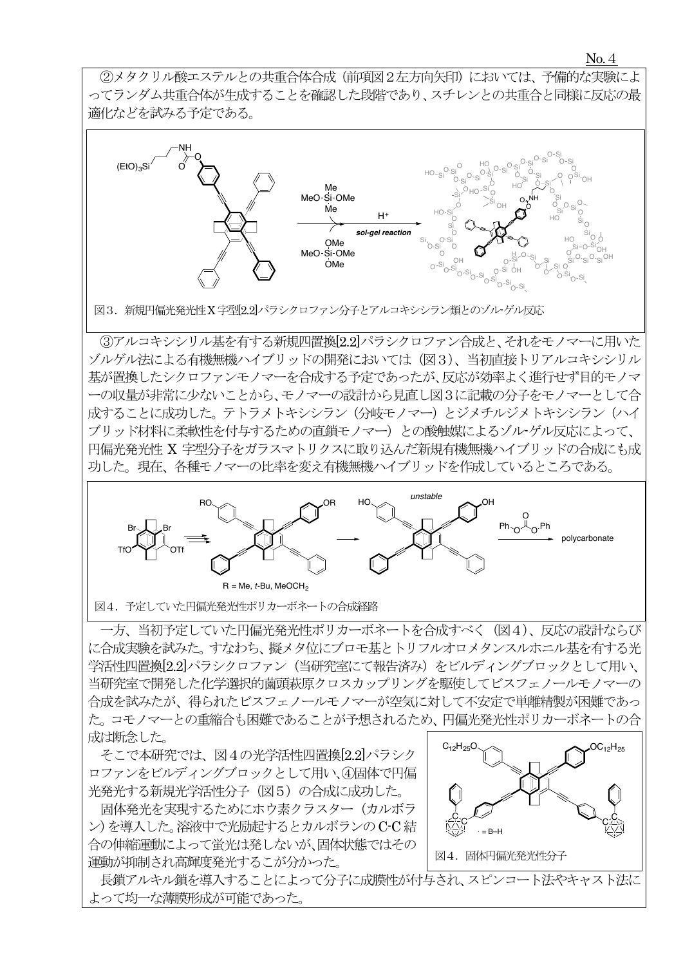$No. 4$ 

②メタクリル酸エステルとの共重合体合成 (前項図2左方向矢印) においては、予備的な実験によ ってランダム共重合体が生成することを確認した段階であり、スチレンとの共重合と同様に反応の最 滴化などを試みる予定である。



図3. 新規円偏光発光性 X字型[22]パラシクロファン分子とアルコキシシラン類とのゾル・ゲル反応

③アルコキシシリル基を有する新規四置換[2.2]パラシクロファン合成と、それをモノマーに用いた ゾルゲル法による有機無機ハイブリッドの開発においては (図3)、当初直接トリアルコキシシリル 基が置換したシクロファンモノマーを合成する予定であったが、反応が効率よく進行せず目的モノマ 一の収量が非常に少ないことから、モノマーの設計から見直し図3に記載の分子をモノマーとして合 成することに成功した。 テトラメトキシシラン (分岐モノマー) とジメチルジメトキシシラン (ハイ ブリッド材料に柔軟性を付与するための直鎖モノマー)との酸触媒によるゾル・ゲル反応によって、 円偏光発光性 X 字型分子をガラスマトリクスに取り込んだ新規有機無機ハイブリッドの合成にも成 功した。現在、各種モノマーの比率を変え有機無機ハイブリッドを作成しているところである。



図4. 予定していた円偏光発光性ポリカーボネートの合成経路

一方、当初予定していた円偏光発光性ポリカーボネートを合成すべく (図4)、反応の設計ならび に合成実験を試みた。すなわち、擬メタ位にブロモ基とトリフルオロメタンスルホニル基を有する光 学活性四置換[2.2]パラシクロファン (当研究室にて報告済み) をビルディングブロックとして用い、 当研究室で開発した化学選択的薗頭萩原クロスカップリングを駆使してビスフェノールモノマーの 合成を試みたが、得られたビスフェノールモノマーが空気に対して不安定で単離精製が困難であっ た。コモノマーとの重縮合も困難であることが予想されるため、円偏光発光性ポリカーボネートの合 成は断念した。

そこで本研究では、図4の光学活性四置換[2.2]パラシク ロファンをビルディングブロックとして用い、4固体で円偏 光発光する新規光学活性分子 (図5) の合成に成功した。

固体発光を実現するためにホウ素クラスター(カルボラ ン)を導入した。溶液中で光励起するとカルボランのC-C結 合の伸縮運動によって蛍光は発しないが、固体状態ではその 運動が抑制され高輝度発光するこが分かった。



長鎖アルキル鎖を導入することによって分子に成膜性が付与され、スピンコート法やキャスト法に よって均一な薄膜形成が可能であった。